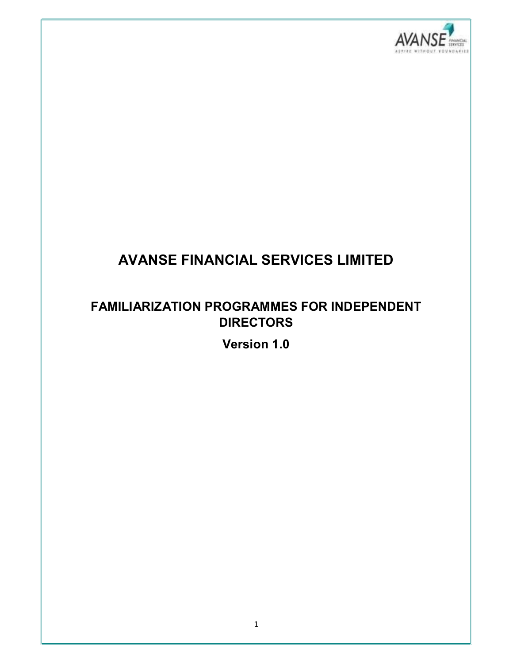

# AVANSE FINANCIAL SERVICES LIMITED

## FAMILIARIZATION PROGRAMMES FOR INDEPENDENT **DIRECTORS**

Version 1.0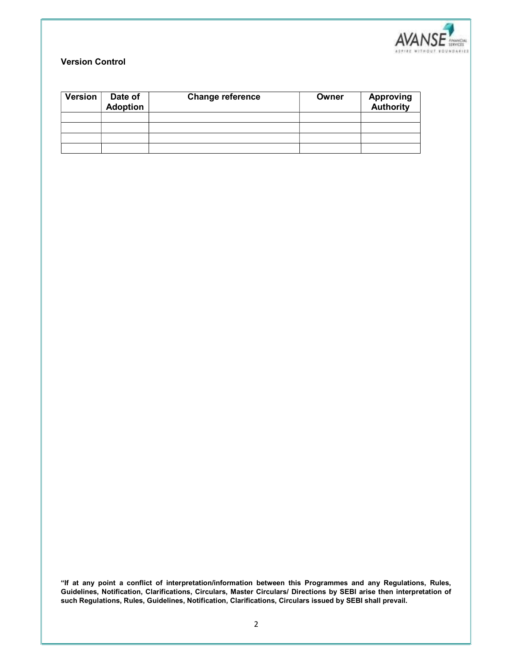

### Version Control

| <b>Version</b> | Date of<br><b>Adoption</b> | <b>Change reference</b> | Owner | <b>Approving</b><br><b>Authority</b> |
|----------------|----------------------------|-------------------------|-------|--------------------------------------|
|                |                            |                         |       |                                      |
|                |                            |                         |       |                                      |
|                |                            |                         |       |                                      |
|                |                            |                         |       |                                      |

"If at any point a conflict of interpretation/information between this Programmes and any Regulations, Rules, Guidelines, Notification, Clarifications, Circulars, Master Circulars/ Directions by SEBI arise then interpretation of such Regulations, Rules, Guidelines, Notification, Clarifications, Circulars issued by SEBI shall prevail.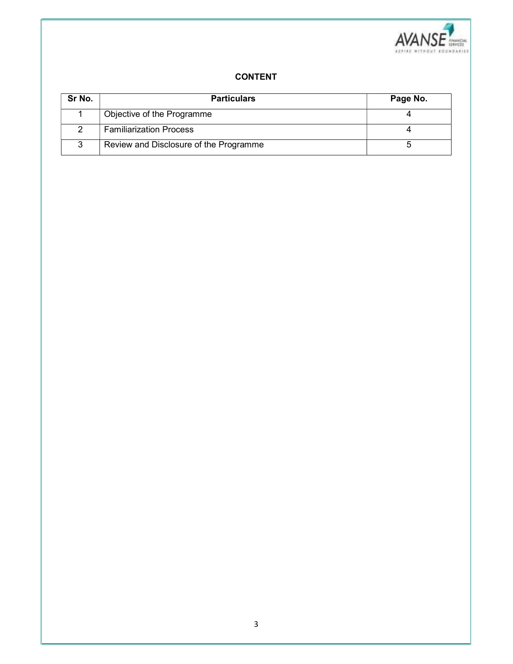

#### CONTENT

| Sr No. | <b>Particulars</b>                     | Page No. |
|--------|----------------------------------------|----------|
|        | Objective of the Programme             |          |
|        | <b>Familiarization Process</b>         |          |
| ຈ      | Review and Disclosure of the Programme |          |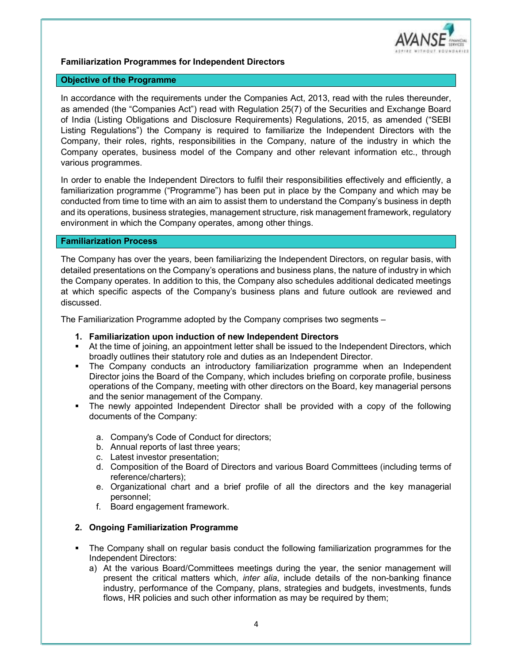

#### Familiarization Programmes for Independent Directors

#### Objective of the Programme

In accordance with the requirements under the Companies Act, 2013, read with the rules thereunder, as amended (the "Companies Act") read with Regulation 25(7) of the Securities and Exchange Board of India (Listing Obligations and Disclosure Requirements) Regulations, 2015, as amended ("SEBI Listing Regulations") the Company is required to familiarize the Independent Directors with the Company, their roles, rights, responsibilities in the Company, nature of the industry in which the Company operates, business model of the Company and other relevant information etc., through various programmes.

In order to enable the Independent Directors to fulfil their responsibilities effectively and efficiently, a familiarization programme ("Programme") has been put in place by the Company and which may be conducted from time to time with an aim to assist them to understand the Company's business in depth and its operations, business strategies, management structure, risk management framework, regulatory environment in which the Company operates, among other things.

#### Familiarization Process

The Company has over the years, been familiarizing the Independent Directors, on regular basis, with detailed presentations on the Company's operations and business plans, the nature of industry in which the Company operates. In addition to this, the Company also schedules additional dedicated meetings at which specific aspects of the Company's business plans and future outlook are reviewed and discussed.

The Familiarization Programme adopted by the Company comprises two segments –

- 1. Familiarization upon induction of new Independent Directors
- At the time of joining, an appointment letter shall be issued to the Independent Directors, which broadly outlines their statutory role and duties as an Independent Director.
- The Company conducts an introductory familiarization programme when an Independent Director joins the Board of the Company, which includes briefing on corporate profile, business operations of the Company, meeting with other directors on the Board, key managerial persons and the senior management of the Company.
- The newly appointed Independent Director shall be provided with a copy of the following documents of the Company:
	- a. Company's Code of Conduct for directors;
	- b. Annual reports of last three years;
	- c. Latest investor presentation;
	- d. Composition of the Board of Directors and various Board Committees (including terms of reference/charters);
	- e. Organizational chart and a brief profile of all the directors and the key managerial personnel;
	- f. Board engagement framework.

#### 2. Ongoing Familiarization Programme

- The Company shall on regular basis conduct the following familiarization programmes for the Independent Directors:
	- a) At the various Board/Committees meetings during the year, the senior management will present the critical matters which, inter alia, include details of the non-banking finance industry, performance of the Company, plans, strategies and budgets, investments, funds flows, HR policies and such other information as may be required by them;